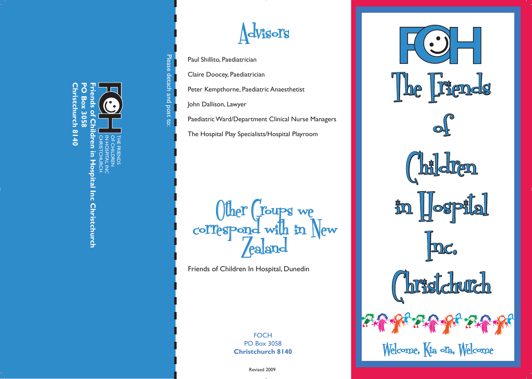Please detach and post to: Please detach and post to:

CHRISTCHURCH IN HOSPITAL INC OF CHILDREN THE FRIENDS

**F**

**H**

**Friends of Children in Hospital Inc Christchurch**

pital Inc Christchurch

 $\frac{1}{2}$ 

**Christchurch 8140**

**Christchurch 8140** 

**PO Box 3058**

**PO Box 3058**  $\overline{5}$ 



Paul Shillito, Paediatrician

Claire Doocey, Paediatrician

Peter Kempthorne, Paediatric Anaesthetist

John Dallison, Lawyer

Paediatric Ward/Department Clinical Nurse Managers

The Hospital Play Specialists/Hospital Playroom

**CHRISTS**<br>
Matrician<br>
Rediatric Anaesth<br>
Were Department Clinical<br>
Pepartment Clinical<br>
Pepartment Clinical<br>
Pepartment Clinical<br>
Pepartment Clinical<br>
Pepartment Clinical<br>
Pepartment Clinical<br>
Pepartment Rediatrical<br>
Pepar Other Groups we<br>correspond with in New

Friends of Children In Hospital, Dunedin

**FOCH** PO Box 3058 **Christchurch 8140** 

Revised 2009